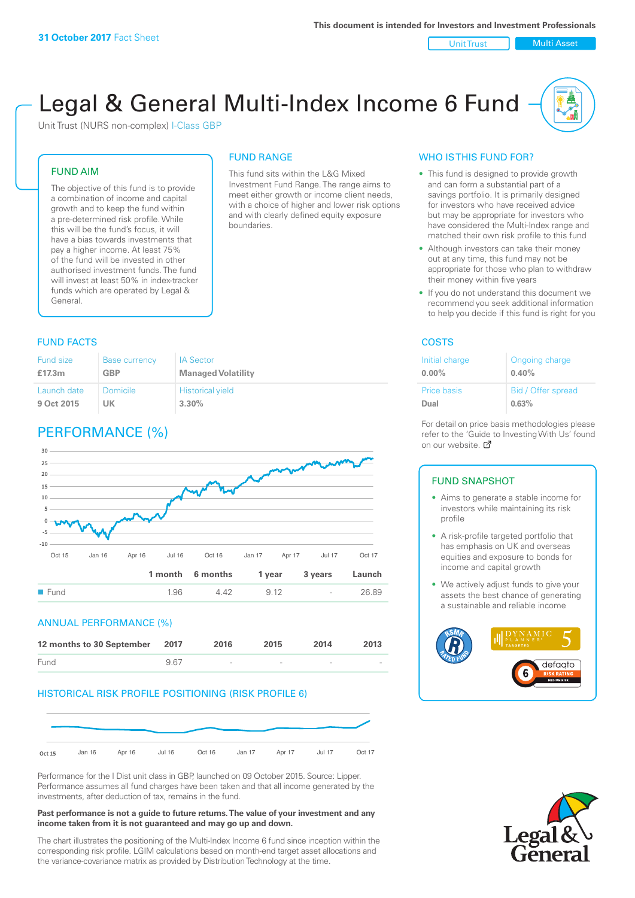Unit Trust | Multi Asset

# Legal & General Multi-Index Income 6 Fund

This fund sits within the L&G Mixed Investment Fund Range. The range aims to meet either growth or income client needs, with a choice of higher and lower risk options and with clearly defined equity exposure

FUND RANGE

boundaries.

Unit Trust (NURS non-complex) I-Class GBP

#### FUND AIM

The objective of this fund is to provide a combination of income and capital growth and to keep the fund within a pre-determined risk profile. While this will be the fund's focus, it will have a bias towards investments that pay a higher income. At least 75% of the fund will be invested in other authorised investment funds. The fund will invest at least 50% in index-tracker funds which are operated by Legal & General.

#### **FUND FACTS** COSTS

| Fund size   | <b>Base currency</b> | <b>IA Sector</b>          |
|-------------|----------------------|---------------------------|
| £17.3m      | <b>GBP</b>           | <b>Managed Volatility</b> |
| Launch date | Domicile             | <b>Historical yield</b>   |
| 9 Oct 2015  | UΚ                   | $3.30\%$                  |

# PERFORMANCE (%)



#### ANNUAL PERFORMANCE (%)

| 12 months to 30 September 2017 |     | 2016                     | 2015                     | 2014                     | 2013                     |
|--------------------------------|-----|--------------------------|--------------------------|--------------------------|--------------------------|
| Fund                           | 967 | $\overline{\phantom{a}}$ | $\overline{\phantom{a}}$ | $\overline{\phantom{a}}$ | $\overline{\phantom{a}}$ |

#### HISTORICAL RISK PROFILE POSITIONING (RISK PROFILE 6)



Performance for the I Dist unit class in GBP, launched on 09 October 2015. Source: Lipper. Performance assumes all fund charges have been taken and that all income generated by the investments, after deduction of tax, remains in the fund.

#### **Past performance is not a guide to future returns. The value of your investment and any income taken from it is not guaranteed and may go up and down.**

The chart illustrates the positioning of the Multi-Index Income 6 fund since inception within the corresponding risk profile. LGIM calculations based on month-end target asset allocations and the variance-covariance matrix as provided by Distribution Technology at the time.

#### WHO IS THIS FUND FOR?

- This fund is designed to provide growth and can form a substantial part of a savings portfolio. It is primarily designed for investors who have received advice but may be appropriate for investors who have considered the Multi-Index range and matched their own risk profile to this fund
- Although investors can take their money out at any time, this fund may not be appropriate for those who plan to withdraw their money within five years
- If you do not understand this document we recommend you seek additional information to help you decide if this fund is right for you

| Initial charge     | Ongoing charge     |
|--------------------|--------------------|
| $0.00\%$           | 0.40%              |
| <b>Price basis</b> | Bid / Offer spread |
| Dual               | 0.63%              |

For detail on price basis methodologies please refer to the 'Gu[ide t](http://www.legalandgeneral.com/guide)o Investing With Us' found on our website. Ø

#### FUND SNAPSHOT

- Aims to generate a stable income for investors while maintaining its risk profile
- A risk-profile targeted portfolio that has emphasis on UK and overseas equities and exposure to bonds for income and capital growth
- We actively adjust funds to give your assets the best chance of generating a sustainable and reliable income



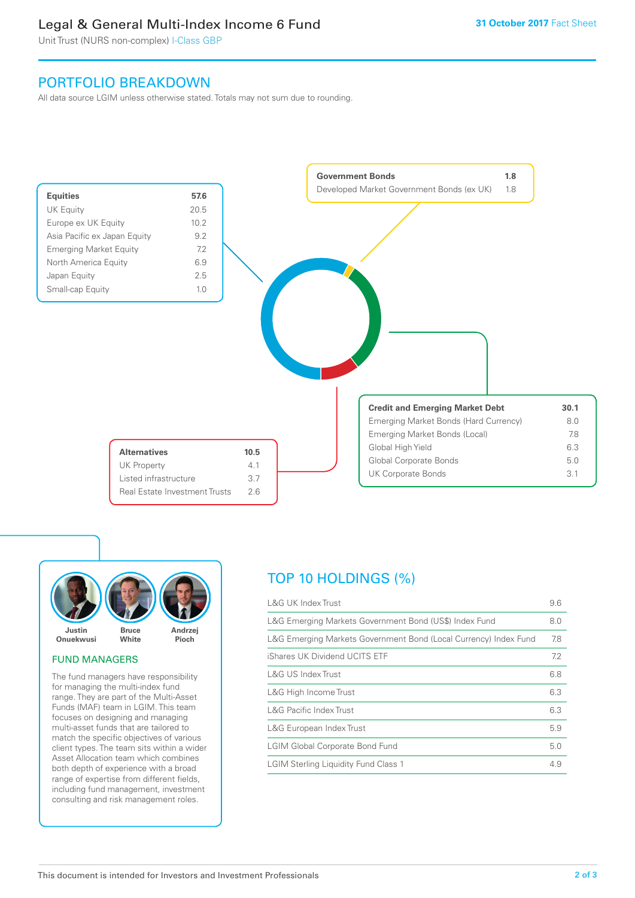# Legal & General Multi-Index Income 6 Fund

Unit Trust (NURS non-complex) I-Class GBP

# PORTFOLIO BREAKDOWN

All data source LGIM unless otherwise stated. Totals may not sum due to rounding.





#### FUND MANAGERS

The fund managers have responsibility for managing the multi-index fund range. They are part of the Multi-Asset Funds (MAF) team in LGIM. This team focuses on designing and managing multi-asset funds that are tailored to match the specific objectives of various client types. The team sits within a wider Asset Allocation team which combines both depth of experience with a broad range of expertise from different fields, including fund management, investment consulting and risk management roles.

# TOP 10 HOLDINGS (%)

| <b>L&amp;G UK Index Trust</b>                                    | 9.6 |
|------------------------------------------------------------------|-----|
| L&G Emerging Markets Government Bond (US\$) Index Fund           | 8.0 |
| L&G Emerging Markets Government Bond (Local Currency) Index Fund | 7.8 |
| iShares UK Dividend UCITS ETF                                    | 7.2 |
| L&G US Index Trust                                               | 6.8 |
| L&G High Income Trust                                            | 6.3 |
| <b>L&amp;G Pacific Index Trust</b>                               | 6.3 |
| L&G European Index Trust                                         | 5.9 |
| <b>LGIM Global Corporate Bond Fund</b>                           | 5.0 |
| <b>LGIM Sterling Liquidity Fund Class 1</b>                      | 4.9 |